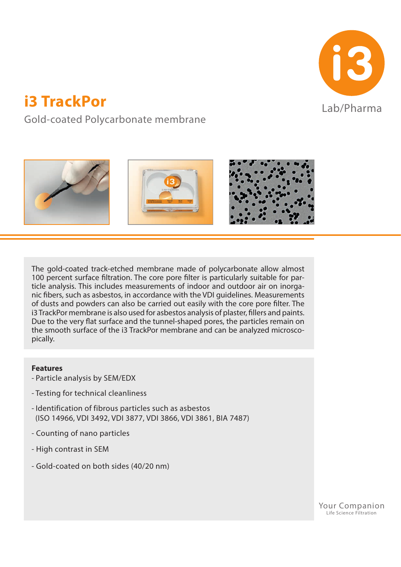

# **i3 TrackPor in the lab/Pharma**

Gold-coated Polycarbonate membrane



The gold-coated track-etched membrane made of polycarbonate allow almost 100 percent surface filtration. The core pore filter is particularly suitable for particle analysis. This includes measurements of indoor and outdoor air on inorganic fibers, such as asbestos, in accordance with the VDI guidelines. Measurements of dusts and powders can also be carried out easily with the core pore filter. The i3 TrackPor membrane is also used for asbestos analysis of plaster, fillers and paints. Due to the very flat surface and the tunnel-shaped pores, the particles remain on the smooth surface of the i3 TrackPor membrane and can be analyzed microscopically.

## **Features**

- Particle analysis by SEM/EDX
- Testing for technical cleanliness
- Identification of fibrous particles such as asbestos (ISO 14966, VDI 3492, VDI 3877, VDI 3866, VDI 3861, BIA 7487)
- Counting of nano particles
- High contrast in SEM
- Gold-coated on both sides (40/20 nm)

Your Companion Life Science Filtration